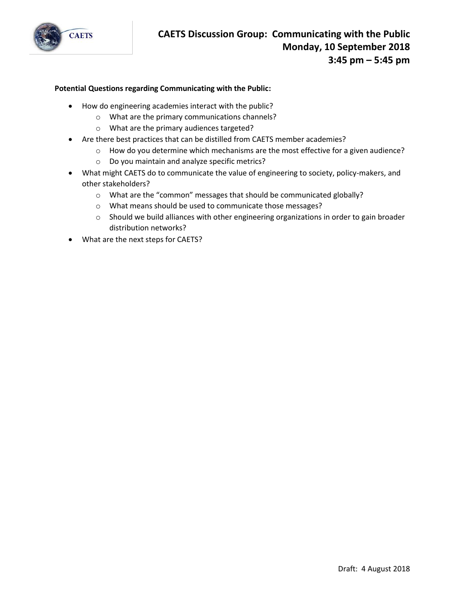

#### **Potential Questions regarding Communicating with the Public:**

- How do engineering academies interact with the public?
	- o What are the primary communications channels?
	- o What are the primary audiences targeted?
- Are there best practices that can be distilled from CAETS member academies?
	- o How do you determine which mechanisms are the most effective for a given audience?
	- o Do you maintain and analyze specific metrics?
- What might CAETS do to communicate the value of engineering to society, policy-makers, and other stakeholders?
	- o What are the "common" messages that should be communicated globally?
	- o What means should be used to communicate those messages?
	- o Should we build alliances with other engineering organizations in order to gain broader distribution networks?
- What are the next steps for CAETS?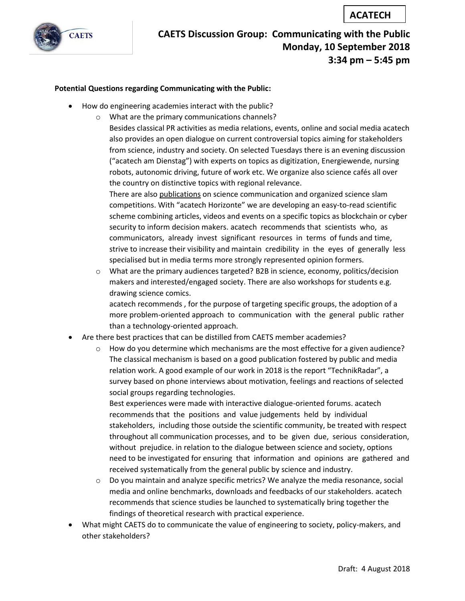



# **CAETS Discussion Group: Communicating with the Public Monday, 10 September 2018 3:34 pm – 5:45 pm**

#### **Potential Questions regarding Communicating with the Public:**

- How do engineering academies interact with the public?
	- o What are the primary communications channels?

Besides classical PR activities as media relations, events, online and social media acatech also provides an open dialogue on current controversial topics aiming for stakeholders from science, industry and society. On selected Tuesdays there is an evening discussion ("acatech am Dienstag") with experts on topics as digitization, Energiewende, nursing robots, autonomic driving, future of work etc. We organize also science cafés all over the country on distinctive topics with regional relevance.

There are also [publications](https://www.acatech.de/wp-content/uploads/2018/03/acatech_Engl_POS_Biotechnology-Communication_final_121203.pdf) on science communication and organized science slam competitions. With "acatech Horizonte" we are developing an easy-to-read scientific scheme combining articles, videos and events on a specific topics as blockchain or cyber security to inform decision makers. acatech recommends that scientists who, as communicators, already invest significant resources in terms of funds and time, strive to increase their visibility and maintain credibility in the eyes of generally less specialised but in media terms more strongly represented opinion formers.

o What are the primary audiences targeted? B2B in science, economy, politics/decision makers and interested/engaged society. There are also workshops for students e.g. drawing science comics.

acatech recommends , for the purpose of targeting specific groups, the adoption of a more problem-oriented approach to communication with the general public rather than a technology-oriented approach.

- Are there best practices that can be distilled from CAETS member academies?
	- $\circ$  How do you determine which mechanisms are the most effective for a given audience? The classical mechanism is based on a good publication fostered by public and media relation work. A good example of our work in 2018 is the report "TechnikRadar", a survey based on phone interviews about motivation, feelings and reactions of selected social groups regarding technologies.

Best experiences were made with interactive dialogue-oriented forums. acatech recommends that the positions and value judgements held by individual stakeholders, including those outside the scientific community, be treated with respect throughout all communication processes, and to be given due, serious consideration, without prejudice. in relation to the dialogue between science and society, options need to be investigated for ensuring that information and opinions are gathered and received systematically from the general public by science and industry.

- $\circ$  Do you maintain and analyze specific metrics? We analyze the media resonance, social media and online benchmarks, downloads and feedbacks of our stakeholders. acatech recommends that science studies be launched to systematically bring together the findings of theoretical research with practical experience.
- What might CAETS do to communicate the value of engineering to society, policy-makers, and other stakeholders?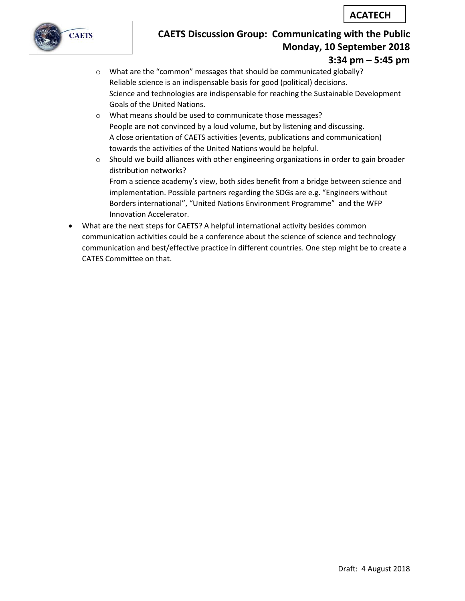# **ACATECH**



# **CAETS Discussion Group: Communicating with the Public Monday, 10 September 2018**

# **3:34 pm – 5:45 pm**

- o What are the "common" messages that should be communicated globally? Reliable science is an indispensable basis for good (political) decisions. Science and technologies are indispensable for reaching the Sustainable Development Goals of the United Nations.
- o What means should be used to communicate those messages? People are not convinced by a loud volume, but by listening and discussing. A close orientation of CAETS activities (events, publications and communication) towards the activities of the United Nations would be helpful.
- $\circ$  Should we build alliances with other engineering organizations in order to gain broader distribution networks?

From a science academy's view, both sides benefit from a bridge between science and implementation. Possible partners regarding the SDGs are e.g. "Engineers without Borders international", "United Nations Environment Programme" and the WFP Innovation Accelerator.

• What are the next steps for CAETS? A helpful international activity besides common communication activities could be a conference about the science of science and technology communication and best/effective practice in different countries. One step might be to create a CATES Committee on that.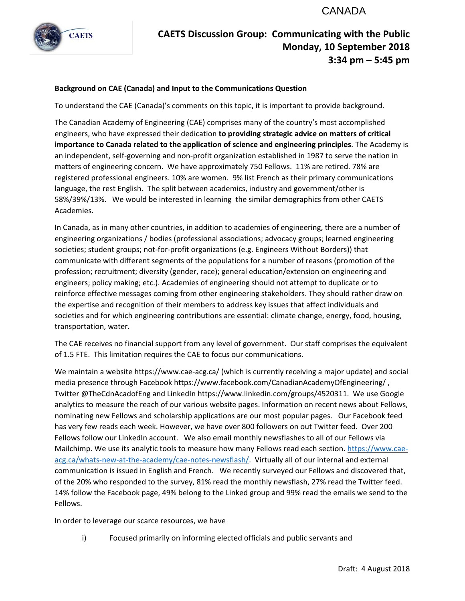

# **CAETS Discussion Group: Communicating with the Public Monday, 10 September 2018 3:34 pm – 5:45 pm**

#### **Background on CAE (Canada) and Input to the Communications Question**

To understand the CAE (Canada)'s comments on this topic, it is important to provide background.

The Canadian Academy of Engineering (CAE) comprises many of the country's most accomplished engineers, who have expressed their dedication **to providing strategic advice on matters of critical importance to Canada related to the application of science and engineering principles**. The Academy is an independent, self-governing and non-profit organization established in 1987 to serve the nation in matters of engineering concern. We have approximately 750 Fellows. 11% are retired. 78% are registered professional engineers. 10% are women. 9% list French as their primary communications language, the rest English. The split between academics, industry and government/other is 58%/39%/13%. We would be interested in learning the similar demographics from other CAETS Academies.

In Canada, as in many other countries, in addition to academies of engineering, there are a number of engineering organizations / bodies (professional associations; advocacy groups; learned engineering societies; student groups; not-for-profit organizations (e.g. Engineers Without Borders)) that communicate with different segments of the populations for a number of reasons (promotion of the profession; recruitment; diversity (gender, race); general education/extension on engineering and engineers; policy making; etc.). Academies of engineering should not attempt to duplicate or to reinforce effective messages coming from other engineering stakeholders. They should rather draw on the expertise and recognition of their members to address key issues that affect individuals and societies and for which engineering contributions are essential: climate change, energy, food, housing, transportation, water.

The CAE receives no financial support from any level of government. Our staff comprises the equivalent of 1.5 FTE. This limitation requires the CAE to focus our communications.

We maintain a website https://www.cae-acg.ca/ (which is currently receiving a major update) and social media presence through Facebook https://www.facebook.com/CanadianAcademyOfEngineering/ , Twitter @TheCdnAcadofEng and LinkedIn https://www.linkedin.com/groups/4520311. We use Google analytics to measure the reach of our various website pages. Information on recent news about Fellows, nominating new Fellows and scholarship applications are our most popular pages. Our Facebook feed has very few reads each week. However, we have over 800 followers on out Twitter feed. Over 200 Fellows follow our LinkedIn account. We also email monthly newsflashes to all of our Fellows via Mailchimp. We use its analytic tools to measure how many Fellows read each section[. https://www.cae](https://www.cae-acg.ca/whats-new-at-the-academy/cae-notes-newsflash/)[acg.ca/whats-new-at-the-academy/cae-notes-newsflash/.](https://www.cae-acg.ca/whats-new-at-the-academy/cae-notes-newsflash/) Virtually all of our internal and external communication is issued in English and French. We recently surveyed our Fellows and discovered that, of the 20% who responded to the survey, 81% read the monthly newsflash, 27% read the Twitter feed. 14% follow the Facebook page, 49% belong to the Linked group and 99% read the emails we send to the Fellows.

In order to leverage our scarce resources, we have

i) Focused primarily on informing elected officials and public servants and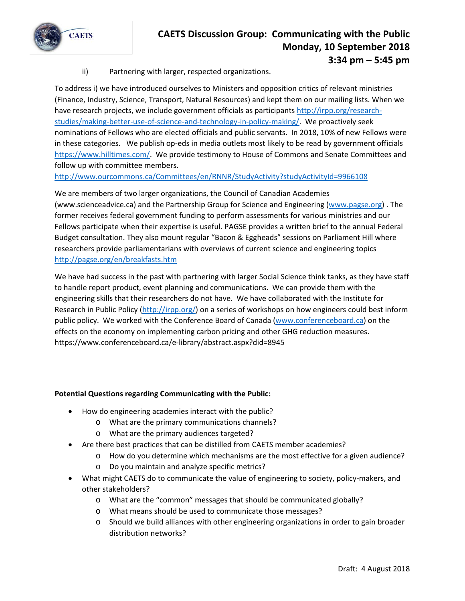

# **CAETS Discussion Group: Communicating with the Public Monday, 10 September 2018 3:34 pm – 5:45 pm**

ii) Partnering with larger, respected organizations.

To address i) we have introduced ourselves to Ministers and opposition critics of relevant ministries (Finance, Industry, Science, Transport, Natural Resources) and kept them on our mailing lists. When we have research projects, we include government officials as participants [http://irpp.org/research](http://irpp.org/research-studies/making-better-use-of-science-and-technology-in-policy-making/)[studies/making-better-use-of-science-and-technology-in-policy-making/.](http://irpp.org/research-studies/making-better-use-of-science-and-technology-in-policy-making/) We proactively seek nominations of Fellows who are elected officials and public servants. In 2018, 10% of new Fellows were in these categories. We publish op-eds in media outlets most likely to be read by government officials [https://www.hilltimes.com/.](https://www.hilltimes.com/) We provide testimony to House of Commons and Senate Committees and follow up with committee members.

<http://www.ourcommons.ca/Committees/en/RNNR/StudyActivity?studyActivityId=9966108>

We are members of two larger organizations, the Council of Canadian Academies (www.scienceadvice.ca) and the Partnership Group for Science and Engineering [\(www.pagse.org\)](http://www.pagse.org/) . The former receives federal government funding to perform assessments for various ministries and our Fellows participate when their expertise is useful. PAGSE provides a written brief to the annual Federal Budget consultation. They also mount regular "Bacon & Eggheads" sessions on Parliament Hill where researchers provide parliamentarians with overviews of current science and engineering topics <http://pagse.org/en/breakfasts.htm>

We have had success in the past with partnering with larger Social Science think tanks, as they have staff to handle report product, event planning and communications. We can provide them with the engineering skills that their researchers do not have. We have collaborated with the Institute for Research in Public Policy [\(http://irpp.org/\)](http://irpp.org/) on a series of workshops on how engineers could best inform public policy. We worked with the Conference Board of Canada [\(www.conferenceboard.ca\)](http://www.conferenceboard.ca/) on the effects on the economy on implementing carbon pricing and other GHG reduction measures. https://www.conferenceboard.ca/e-library/abstract.aspx?did=8945

#### **Potential Questions regarding Communicating with the Public:**

- How do engineering academies interact with the public?
	- o What are the primary communications channels?
	- o What are the primary audiences targeted?
- Are there best practices that can be distilled from CAETS member academies?
	- o How do you determine which mechanisms are the most effective for a given audience?
	- o Do you maintain and analyze specific metrics?
- What might CAETS do to communicate the value of engineering to society, policy-makers, and other stakeholders?
	- o What are the "common" messages that should be communicated globally?
	- o What means should be used to communicate those messages?
	- o Should we build alliances with other engineering organizations in order to gain broader distribution networks?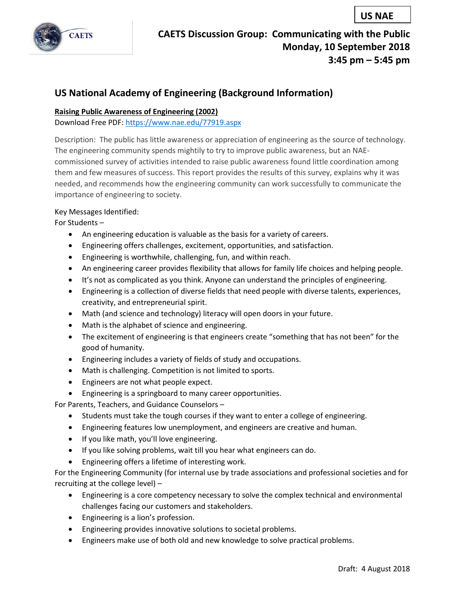



# **US National Academy of Engineering (Background Information)**

#### **Raising Public Awareness of Engineering (2002)**

Download Free PDF:<https://www.nae.edu/77919.aspx>

Description: The public has little awareness or appreciation of engineering as the source of technology. The engineering community spends mightily to try to improve public awareness, but an NAEcommissioned survey of activities intended to raise public awareness found little coordination among them and few measures of success. This report provides the results of this survey, explains why it was needed, and recommends how the engineering community can work successfully to communicate the importance of engineering to society.

#### Key Messages Identified:

For Students –

- An engineering education is valuable as the basis for a variety of careers.
- Engineering offers challenges, excitement, opportunities, and satisfaction.
- Engineering is worthwhile, challenging, fun, and within reach.
- An engineering career provides flexibility that allows for family life choices and helping people.
- It's not as complicated as you think. Anyone can understand the principles of engineering.
- Engineering is a collection of diverse fields that need people with diverse talents, experiences, creativity, and entrepreneurial spirit.
- Math (and science and technology) literacy will open doors in your future.
- Math is the alphabet of science and engineering.
- The excitement of engineering is that engineers create "something that has not been" for the good of humanity.
- Engineering includes a variety of fields of study and occupations.
- Math is challenging. Competition is not limited to sports.
- Engineers are not what people expect.
- Engineering is a springboard to many career opportunities.

For Parents, Teachers, and Guidance Counselors –

- Students must take the tough courses if they want to enter a college of engineering.
- Engineering features low unemployment, and engineers are creative and human.
- If you like math, you'll love engineering.
- If you like solving problems, wait till you hear what engineers can do.
- Engineering offers a lifetime of interesting work.

For the Engineering Community (for internal use by trade associations and professional societies and for recruiting at the college level) –

- Engineering is a core competency necessary to solve the complex technical and environmental challenges facing our customers and stakeholders.
- Engineering is a lion's profession.
- Engineering provides innovative solutions to societal problems.
- Engineers make use of both old and new knowledge to solve practical problems.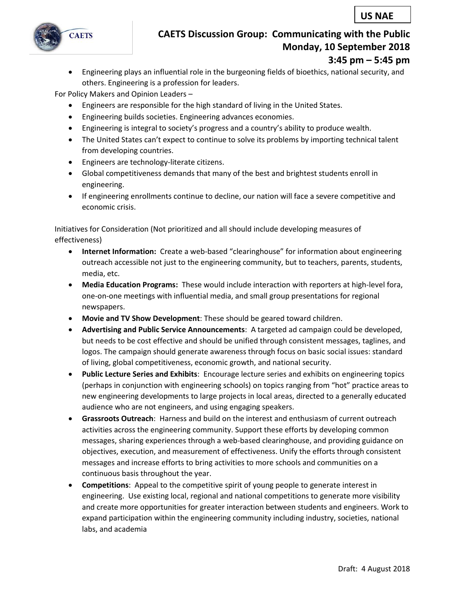# **US NAE**



# **CAETS Discussion Group: Communicating with the Public Monday, 10 September 2018**

## **3:45 pm – 5:45 pm**

• Engineering plays an influential role in the burgeoning fields of bioethics, national security, and others. Engineering is a profession for leaders.

For Policy Makers and Opinion Leaders –

- Engineers are responsible for the high standard of living in the United States.
- Engineering builds societies. Engineering advances economies.
- Engineering is integral to society's progress and a country's ability to produce wealth.
- The United States can't expect to continue to solve its problems by importing technical talent from developing countries.
- Engineers are technology-literate citizens.
- Global competitiveness demands that many of the best and brightest students enroll in engineering.
- If engineering enrollments continue to decline, our nation will face a severe competitive and economic crisis.

Initiatives for Consideration (Not prioritized and all should include developing measures of effectiveness)

- **Internet Information:** Create a web-based "clearinghouse" for information about engineering outreach accessible not just to the engineering community, but to teachers, parents, students, media, etc.
- **Media Education Programs:** These would include interaction with reporters at high-level fora, one-on-one meetings with influential media, and small group presentations for regional newspapers.
- **Movie and TV Show Development**: These should be geared toward children.
- **Advertising and Public Service Announcements**: A targeted ad campaign could be developed, but needs to be cost effective and should be unified through consistent messages, taglines, and logos. The campaign should generate awareness through focus on basic social issues: standard of living, global competitiveness, economic growth, and national security.
- **Public Lecture Series and Exhibits**: Encourage lecture series and exhibits on engineering topics (perhaps in conjunction with engineering schools) on topics ranging from "hot" practice areas to new engineering developments to large projects in local areas, directed to a generally educated audience who are not engineers, and using engaging speakers.
- **Grassroots Outreach**: Harness and build on the interest and enthusiasm of current outreach activities across the engineering community. Support these efforts by developing common messages, sharing experiences through a web-based clearinghouse, and providing guidance on objectives, execution, and measurement of effectiveness. Unify the efforts through consistent messages and increase efforts to bring activities to more schools and communities on a continuous basis throughout the year.
- **Competitions**: Appeal to the competitive spirit of young people to generate interest in engineering. Use existing local, regional and national competitions to generate more visibility and create more opportunities for greater interaction between students and engineers. Work to expand participation within the engineering community including industry, societies, national labs, and academia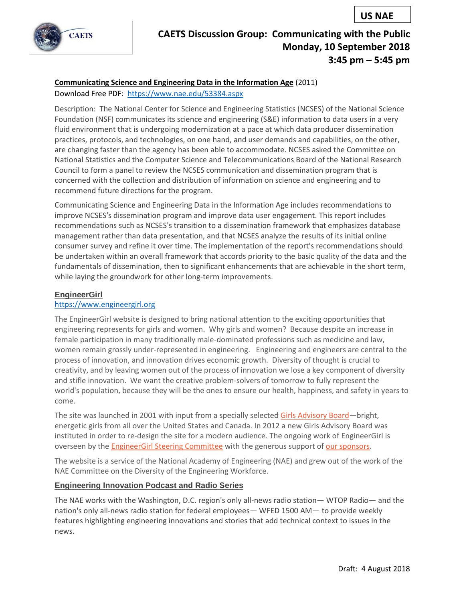



# **CAETS Discussion Group: Communicating with the Public Monday, 10 September 2018 3:45 pm – 5:45 pm**

#### **Communicating Science and Engineering Data in the Information Age** (2011)

Download Free PDF: <https://www.nae.edu/53384.aspx>

Description: The National Center for Science and Engineering Statistics (NCSES) of the National Science Foundation (NSF) communicates its science and engineering (S&E) information to data users in a very fluid environment that is undergoing modernization at a pace at which data producer dissemination practices, protocols, and technologies, on one hand, and user demands and capabilities, on the other, are changing faster than the agency has been able to accommodate. NCSES asked the Committee on National Statistics and the Computer Science and Telecommunications Board of the National Research Council to form a panel to review the NCSES communication and dissemination program that is concerned with the collection and distribution of information on science and engineering and to recommend future directions for the program.

Communicating Science and Engineering Data in the Information Age includes recommendations to improve NCSES's dissemination program and improve data user engagement. This report includes recommendations such as NCSES's transition to a dissemination framework that emphasizes database management rather than data presentation, and that NCSES analyze the results of its initial online consumer survey and refine it over time. The implementation of the report's recommendations should be undertaken within an overall framework that accords priority to the basic quality of the data and the fundamentals of dissemination, then to significant enhancements that are achievable in the short term, while laying the groundwork for other long-term improvements.

#### **EngineerGirl**

#### [https://www.engineergirl.org](https://www.engineergirl.org/)

The EngineerGirl website is designed to bring national attention to the exciting opportunities that engineering represents for girls and women. Why girls and women? Because despite an increase in female participation in many traditionally male-dominated professions such as medicine and law, women remain grossly under-represented in engineering. Engineering and engineers are central to the process of innovation, and innovation drives economic growth. Diversity of thought is crucial to creativity, and by leaving women out of the process of innovation we lose a key component of diversity and stifle innovation. We want the creative problem-solvers of tomorrow to fully represent the world's population, because they will be the ones to ensure our health, happiness, and safety in years to come.

The site was launched in 2001 with input from a specially selected Girls [Advisory](https://www.engineergirl.org/2641/GAB) Board-bright, energetic girls from all over the United States and Canada. In 2012 a new Girls Advisory Board was instituted in order to re-design the site for a modern audience. The ongoing work of EngineerGirl is overseen by the **[EngineerGirl](https://www.engineergirl.org/3543/Steering-Committee) Steering Committee** with the generous support of our [sponsors.](https://www.engineergirl.org/10436/Sponsors)

The website is a service of the National Academy of Engineering (NAE) and grew out of the work of the NAE Committee on the Diversity of the Engineering Workforce.

#### **Engineering Innovation Podcast and Radio Series**

The NAE works with the Washington, D.C. region's only all-news radio station— WTOP Radio— and the nation's only all-news radio station for federal employees— WFED 1500 AM— to provide weekly features highlighting engineering innovations and stories that add technical context to issues in the news.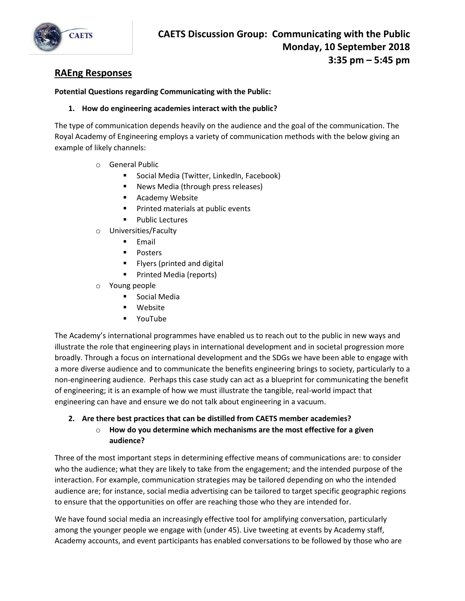

# **RAEng Responses**

#### **Potential Questions regarding Communicating with the Public:**

#### **1. How do engineering academies interact with the public?**

The type of communication depends heavily on the audience and the goal of the communication. The Royal Academy of Engineering employs a variety of communication methods with the below giving an example of likely channels:

- o General Public
	- Social Media (Twitter, LinkedIn, Facebook)
	- News Media (through press releases)
	- Academy Website
	- Printed materials at public events
	- Public Lectures
- o Universities/Faculty
	- Email
	- Posters
	- Flyers (printed and digital
	- Printed Media (reports)
- o Young people
	- Social Media
	- Website
	- YouTube

The Academy's international programmes have enabled us to reach out to the public in new ways and illustrate the role that engineering plays in international development and in societal progression more broadly. Through a focus on international development and the SDGs we have been able to engage with a more diverse audience and to communicate the benefits engineering brings to society, particularly to a non-engineering audience. Perhaps this case study can act as a blueprint for communicating the benefit of engineering; it is an example of how we must illustrate the tangible, real-world impact that engineering can have and ensure we do not talk about engineering in a vacuum.

#### **2. Are there best practices that can be distilled from CAETS member academies?**

### o **How do you determine which mechanisms are the most effective for a given audience?**

Three of the most important steps in determining effective means of communications are: to consider who the audience; what they are likely to take from the engagement; and the intended purpose of the interaction. For example, communication strategies may be tailored depending on who the intended audience are; for instance, social media advertising can be tailored to target specific geographic regions to ensure that the opportunities on offer are reaching those who they are intended for.

We have found social media an increasingly effective tool for amplifying conversation, particularly among the younger people we engage with (under 45). Live tweeting at events by Academy staff, Academy accounts, and event participants has enabled conversations to be followed by those who are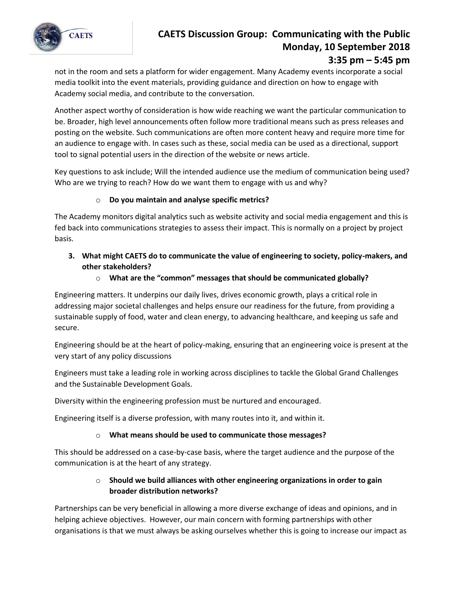

# **CAETS Discussion Group: Communicating with the Public Monday, 10 September 2018**

# **3:35 pm – 5:45 pm**

not in the room and sets a platform for wider engagement. Many Academy events incorporate a social media toolkit into the event materials, providing guidance and direction on how to engage with Academy social media, and contribute to the conversation.

Another aspect worthy of consideration is how wide reaching we want the particular communication to be. Broader, high level announcements often follow more traditional means such as press releases and posting on the website. Such communications are often more content heavy and require more time for an audience to engage with. In cases such as these, social media can be used as a directional, support tool to signal potential users in the direction of the website or news article.

Key questions to ask include; Will the intended audience use the medium of communication being used? Who are we trying to reach? How do we want them to engage with us and why?

#### o **Do you maintain and analyse specific metrics?**

The Academy monitors digital analytics such as website activity and social media engagement and this is fed back into communications strategies to assess their impact. This is normally on a project by project basis.

## **3. What might CAETS do to communicate the value of engineering to society, policy-makers, and other stakeholders?**

### o **What are the "common" messages that should be communicated globally?**

Engineering matters. It underpins our daily lives, drives economic growth, plays a critical role in addressing major societal challenges and helps ensure our readiness for the future, from providing a sustainable supply of food, water and clean energy, to advancing healthcare, and keeping us safe and secure.

Engineering should be at the heart of policy-making, ensuring that an engineering voice is present at the very start of any policy discussions

Engineers must take a leading role in working across disciplines to tackle the Global Grand Challenges and the Sustainable Development Goals.

Diversity within the engineering profession must be nurtured and encouraged.

Engineering itself is a diverse profession, with many routes into it, and within it.

### o **What means should be used to communicate those messages?**

This should be addressed on a case-by-case basis, where the target audience and the purpose of the communication is at the heart of any strategy.

### o **Should we build alliances with other engineering organizations in order to gain broader distribution networks?**

Partnerships can be very beneficial in allowing a more diverse exchange of ideas and opinions, and in helping achieve objectives. However, our main concern with forming partnerships with other organisations is that we must always be asking ourselves whether this is going to increase our impact as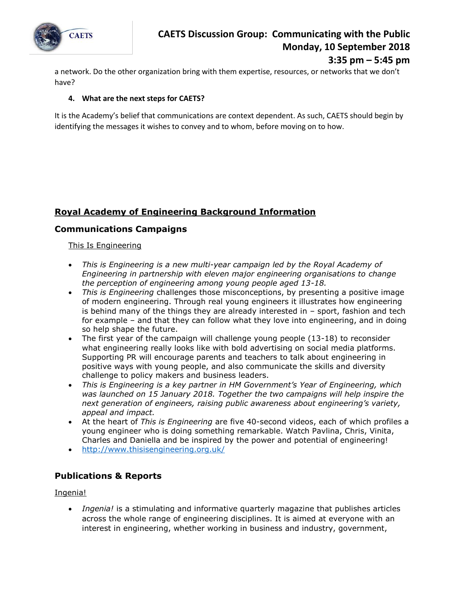

# **CAETS Discussion Group: Communicating with the Public Monday, 10 September 2018**

# **3:35 pm – 5:45 pm**

a network. Do the other organization bring with them expertise, resources, or networks that we don't have?

#### **4. What are the next steps for CAETS?**

It is the Academy's belief that communications are context dependent. As such, CAETS should begin by identifying the messages it wishes to convey and to whom, before moving on to how.

# **Royal Academy of Engineering Background Information**

#### **Communications Campaigns**

#### This Is Engineering

- *This is Engineering is a new multi-year campaign led by the Royal Academy of Engineering in partnership with eleven major engineering organisations to change the perception of engineering among young people aged 13-18.*
- *This is Engineering* challenges those misconceptions, by presenting a positive image of modern engineering. Through real young engineers it illustrates how engineering is behind many of the things they are already interested in – sport, fashion and tech for example – and that they can follow what they love into engineering, and in doing so help shape the future.
- The first year of the campaign will challenge young people (13-18) to reconsider what engineering really looks like with bold advertising on social media platforms. Supporting PR will encourage parents and teachers to talk about engineering in positive ways with young people, and also communicate the skills and diversity challenge to policy makers and business leaders.
- *This is Engineering is a key partner in HM Government's Year of Engineering, which was launched on 15 January 2018. Together the two campaigns will help inspire the next generation of engineers, raising public awareness about engineering's variety, appeal and impact.*
- At the heart of *This is Engineering* are five 40-second videos, each of which profiles a young engineer who is doing something remarkable. Watch Pavlina, Chris, Vinita, Charles and Daniella and be inspired by the power and potential of engineering!
- <http://www.thisisengineering.org.uk/>

### **Publications & Reports**

#### Ingenia!

• *Ingenia!* is a stimulating and informative quarterly magazine that publishes articles across the whole range of engineering disciplines. It is aimed at everyone with an interest in engineering, whether working in business and industry, government,